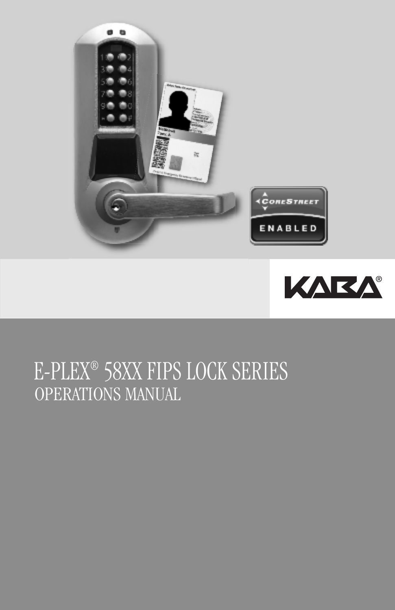



# OPERATIONS MANUAL E-PLEX® 58XX FIPS LOCK SERIES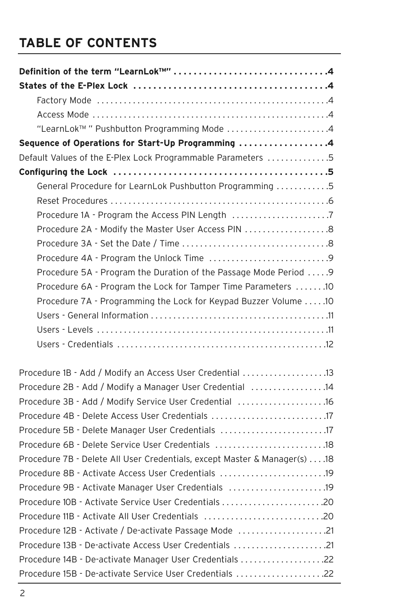## **TABLE OF CONTENTS**

| "LearnLok <sup>TM</sup> " Pushbutton Programming Mode 4                   |
|---------------------------------------------------------------------------|
| Sequence of Operations for Start-Up Programming 4                         |
| Default Values of the E-Plex Lock Programmable Parameters 5               |
|                                                                           |
| General Procedure for LearnLok Pushbutton Programming 5                   |
|                                                                           |
| Procedure 1A - Program the Access PIN Length 7                            |
| Procedure 2A - Modify the Master User Access PIN 8                        |
|                                                                           |
|                                                                           |
| Procedure 5A - Program the Duration of the Passage Mode Period  9         |
| Procedure 6A - Program the Lock for Tamper Time Parameters 10             |
| Procedure 7A - Programming the Lock for Keypad Buzzer Volume  .10         |
|                                                                           |
|                                                                           |
|                                                                           |
| Procedure 1B - Add / Modify an Access User Credential 13                  |
| Procedure 2B - Add / Modify a Manager User Credential 14                  |
| Procedure 3B - Add / Modify Service User Credential 16                    |
|                                                                           |
| Procedure 5B - Delete Manager User Credentials 17                         |
| Procedure 6B - Delete Service User Credentials 18                         |
| Procedure 7B - Delete All User Credentials, except Master & Manager(s) 18 |
| Procedure 8B - Activate Access User Credentials                           |
| Procedure 9B - Activate Manager User Credentials 19                       |
| 2020                                                                      |
| Procedure 11B - Activate All User Credentials 20                          |
| Procedure 12B - Activate / De-activate Passage Mode 21                    |
| Procedure 13B - De-activate Access User Credentials 21                    |
| Procedure 14B - De-activate Manager User Credentials 22                   |
| Procedure 15B - De-activate Service User Credentials 22                   |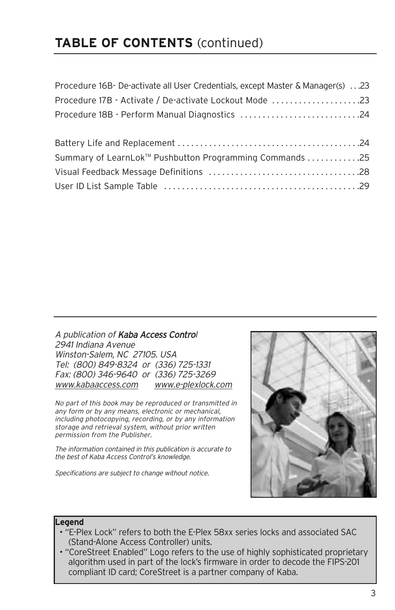## **TABLE OF CONTENTS** (continued)

| Procedure 16B- De-activate all User Credentials, except Master & Manager(s) 23 |  |
|--------------------------------------------------------------------------------|--|
| Procedure 17B - Activate / De-activate Lockout Mode 23                         |  |
| Procedure 18B - Perform Manual Diagnostics 24                                  |  |
|                                                                                |  |
|                                                                                |  |
| Summary of LearnLok <sup>™</sup> Pushbutton Programming Commands 25            |  |
|                                                                                |  |
|                                                                                |  |

A publication of Kaba Access Control 2941 Indiana Avenue Winston-Salem, NC 27105. USA Tel: (800) 849-8324 or (336) 725-1331 Fax: (800) 346-9640 or (336) 725-3269 www.kabaaccess.com www.e-plexlock.com

No part of this book may be reproduced or transmitted in any form or by any means, electronic or mechanical, including photocopying, recording, or by any information storage and retrieval system, without prior written permission from the Publisher.

The information contained in this publication is accurate to the best of Kaba Access Control's knowledge.

Specifications are subject to change without notice.



#### **Legend**

- "E-Plex Lock" refers to both the E-Plex 58xx series locks and associated SAC (Stand-Alone Access Controller) units.
- "CoreStreet Enabled" Logo refers to the use of highly sophisticated proprietary algorithm used in part of the lock's firmware in order to decode the FIPS-201 compliant ID card; CoreStreet is a partner company of Kaba.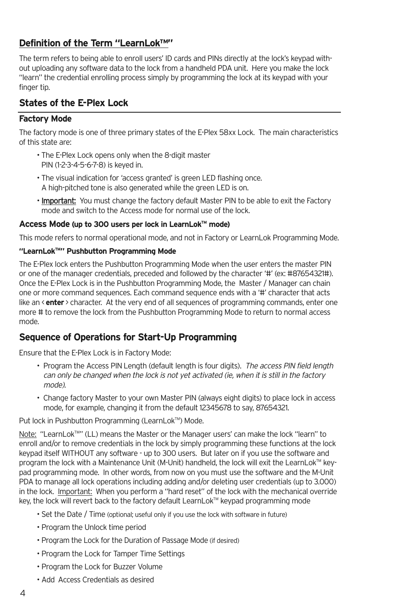### **Definition of the Term "LearnLok™"**

The term refers to being able to enroll users' ID cards and PINs directly at the lock's keypad without uploading any software data to the lock from a handheld PDA unit. Here you make the lock "learn" the credential enrolling process simply by programming the lock at its keypad with your finger tip.

### **States of the E-Plex Lock**

### **Factory Mode**

The factory mode is one of three primary states of the E-Plex 58xx Lock. The main characteristics of this state are:

- The E-Plex Lock opens only when the 8-digit master PIN (1-2-3-4-5-6-7-8) is keyed in.
- The visual indication for 'access granted' is green LED flashing once. A high-pitched tone is also generated while the green LED is on.
- Important: You must change the factory default Master PIN to be able to exit the Factory mode and switch to the Access mode for normal use of the lock.

### **Access Mode (up to 300 users per lock in LearnLokTM mode)**

This mode refers to normal operational mode, and not in Factory or LearnLok Programming Mode.

### **"LearnLokTM " Pushbutton Programming Mode**

The E-Plex lock enters the Pushbutton Programming Mode when the user enters the master PIN or one of the manager credentials, preceded and followed by the character '#' (ex: #87654321#). Once the E-Plex Lock is in the Pushbutton Programming Mode, the Master / Manager can chain one or more command sequences. Each command sequence ends with a '#' character that acts like an <**enter** > character. At the very end of all sequences of programming commands, enter one more # to remove the lock from the Pushbutton Programming Mode to return to normal access mode.

### **Sequence of Operations for Start-Up Programming**

Ensure that the E-Plex Lock is in Factory Mode:

- Program the Access PIN Length (default length is four digits). The access PIN field length can only be changed when the lock is not yet activated (ie, when it is still in the factory mode).
- Change factory Master to your own Master PIN (always eight digits) to place lock in access mode, for example, changing it from the default 12345678 to say, 87654321.

Put lock in Pushbutton Programming (LearnLok™) Mode.

Note: "LearnLok™'' (LL) means the Master or the Manager users' can make the lock "learn" to enroll and/or to remove credentials in the lock by simply programming these functions at the lock keypad itself WITHOUT any software - up to 300 users. But later on if you use the software and program the lock with a Maintenance Unit (M-Unit) handheld, the lock will exit the LearnLok™ keypad programming mode. In other words, from now on you must use the software and the M-Unit PDA to manage all lock operations including adding and/or deleting user credentials (up to 3.000) in the lock. Important: When you perform a "hard reset" of the lock with the mechanical override key, the lock will revert back to the factory default LearnLok™ keypad programming mode

- Set the Date / Time (optional; useful only if you use the lock with software in future)
- Program the Unlock time period
- Program the Lock for the Duration of Passage Mode (if desired)
- Program the Lock for Tamper Time Settings
- Program the Lock for Buzzer Volume
- Add Access Credentials as desired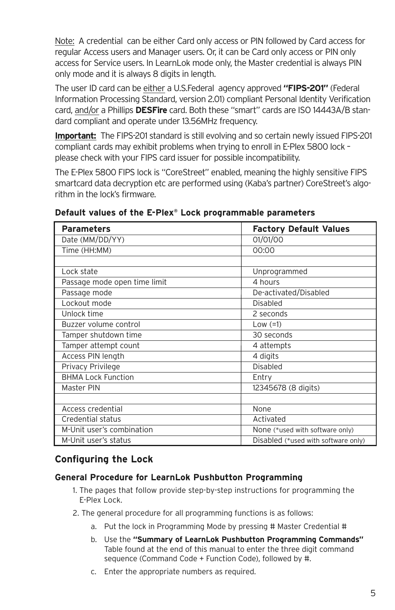Note: A credential can be either Card only access or PIN followed by Card access for regular Access users and Manager users. Or, it can be Card only access or PIN only access for Service users. In LearnLok mode only, the Master credential is always PIN only mode and it is always 8 digits in length.

The user ID card can be either a U.S.Federal agency approved **"FIPS-201"** (Federal Information Processing Standard, version 2.01) compliant Personal Identity Verification card, and/or a Phillips **DESFire** card. Both these "smart" cards are ISO 14443A/B standard compliant and operate under 13.56MHz frequency.

**Important:** The FIPS-201 standard is still evolving and so certain newly issued FIPS-201 compliant cards may exhibit problems when trying to enroll in E-Plex 5800 lock – please check with your FIPS card issuer for possible incompatibility.

The E-Plex 5800 FIPS lock is "CoreStreet" enabled, meaning the highly sensitive FIPS smartcard data decryption etc are performed using (Kaba's partner) CoreStreet's algorithm in the lock's firmware.

| <b>Parameters</b>            | <b>Factory Default Values</b>       |
|------------------------------|-------------------------------------|
| Date (MM/DD/YY)              | 01/01/00                            |
| Time (HH:MM)                 | 00:00                               |
|                              |                                     |
| Lock state                   | Unprogrammed                        |
| Passage mode open time limit | 4 hours                             |
| Passage mode                 | De-activated/Disabled               |
| Lockout mode                 | Disabled                            |
| Unlock time                  | 2 seconds                           |
| Buzzer volume control        | Low $(=1)$                          |
| Tamper shutdown time         | 30 seconds                          |
| Tamper attempt count         | 4 attempts                          |
| Access PIN length            | 4 digits                            |
| Privacy Privilege            | Disabled                            |
| <b>BHMA Lock Function</b>    | Entry                               |
| Master PIN                   | 12345678 (8 digits)                 |
|                              |                                     |
| Access credential            | None                                |
| Credential status            | Activated                           |
| M-Unit user's combination    | None (*used with software only)     |
| M-Unit user's status         | Disabled (*used with software only) |

### **Default values of the E-Plex® Lock programmable parameters**

### **Configuring the Lock**

### **General Procedure for LearnLok Pushbutton Programming**

- 1. The pages that follow provide step-by-step instructions for programming the E-Plex Lock.
- 2. The general procedure for all programming functions is as follows:
	- a. Put the lock in Programming Mode by pressing # Master Credential #
	- b. Use the **"Summary of LearnLok Pushbutton Programming Commands"** Table found at the end of this manual to enter the three digit command sequence (Command Code + Function Code), followed by #.
	- c. Enter the appropriate numbers as required.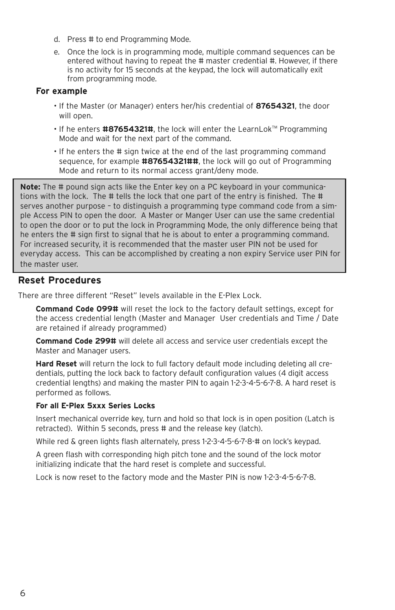- d. Press # to end Programming Mode.
- e. Once the lock is in programming mode, multiple command sequences can be entered without having to repeat the # master credential #. However, if there is no activity for 15 seconds at the keypad, the lock will automatically exit from programming mode.

### **For example**

- If the Master (or Manager) enters her/his credential of **87654321**, the door will open.
- If he enters #87654321#, the lock will enter the LearnLok™ Programming Mode and wait for the next part of the command.
- If he enters the # sign twice at the end of the last programming command sequence, for example **#87654321##**, the lock will go out of Programming Mode and return to its normal access grant/deny mode.

**Note:** The # pound sign acts like the Enter key on a PC keyboard in your communications with the lock. The # tells the lock that one part of the entry is finished. The # serves another purpose – to distinguish a programming type command code from a simple Access PIN to open the door. A Master or Manger User can use the same credential to open the door or to put the lock in Programming Mode, the only difference being that he enters the # sign first to signal that he is about to enter a programming command. For increased security, it is recommended that the master user PIN not be used for everyday access. This can be accomplished by creating a non expiry Service user PIN for the master user.

### **Reset Procedures**

There are three different "Reset" levels available in the E-Plex Lock.

**Command Code 099#** will reset the lock to the factory default settings, except for the access credential length (Master and Manager User credentials and Time / Date are retained if already programmed)

**Command Code 299#** will delete all access and service user credentials except the Master and Manager users.

**Hard Reset** will return the lock to full factory default mode including deleting all credentials, putting the lock back to factory default configuration values (4 digit access credential lengths) and making the master PIN to again 1-2-3-4-5-6-7-8. A hard reset is performed as follows.

### **For all E-Plex 5xxx Series Locks**

Insert mechanical override key, turn and hold so that lock is in open position (Latch is retracted). Within 5 seconds, press # and the release key (latch).

While red & green lights flash alternately, press 1-2-3-4-5-6-7-8-# on lock's keypad.

A green flash with corresponding high pitch tone and the sound of the lock motor initializing indicate that the hard reset is complete and successful.

Lock is now reset to the factory mode and the Master PIN is now 1-2-3-4-5-6-7-8.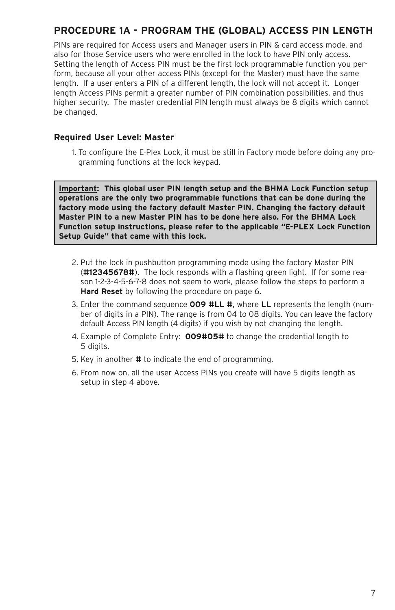### **PROCEDURE 1A - PROGRAM THE (GLOBAL) ACCESS PIN LENGTH**

PINs are required for Access users and Manager users in PIN & card access mode, and also for those Service users who were enrolled in the lock to have PIN only access. Setting the length of Access PIN must be the first lock programmable function you perform, because all your other access PINs (except for the Master) must have the same length. If a user enters a PIN of a different length, the lock will not accept it. Longer length Access PINs permit a greater number of PIN combination possibilities, and thus higher security. The master credential PIN length must always be 8 digits which cannot be changed.

### **Required User Level: Master**

1. To configure the E-Plex Lock, it must be still in Factory mode before doing any programming functions at the lock keypad.

**Important: This global user PIN length setup and the BHMA Lock Function setup operations are the only two programmable functions that can be done during the factory mode using the factory default Master PIN. Changing the factory default Master PIN to a new Master PIN has to be done here also. For the BHMA Lock Function setup instructions, please refer to the applicable "E-PLEX Lock Function Setup Guide" that came with this lock.**

- 2. Put the lock in pushbutton programming mode using the factory Master PIN (**#12345678#**). The lock responds with a flashing green light. If for some reason 1-2-3-4-5-6-7-8 does not seem to work, please follow the steps to perform a **Hard Reset** by following the procedure on page 6.
- 3. Enter the command sequence **009 #LL #**, where **LL** represents the length (number of digits in a PIN). The range is from 04 to 08 digits. You can leave the factory default Access PIN length (4 digits) if you wish by not changing the length.
- 4. Example of Complete Entry: **009#05#** to change the credential length to 5 digits.
- 5. Key in another **#** to indicate the end of programming.
- 6. From now on, all the user Access PINs you create will have 5 digits length as setup in step 4 above.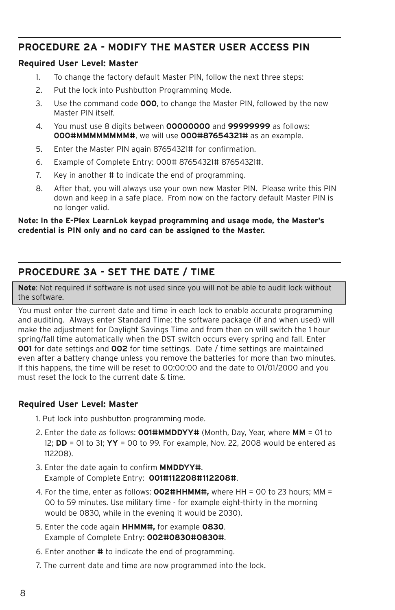### **PROCEDURE 2A - MODIFY THE MASTER USER ACCESS PIN**

### **Required User Level: Master**

- 1. To change the factory default Master PIN, follow the next three steps:
- 2. Put the lock into Pushbutton Programming Mode.
- 3. Use the command code **000**, to change the Master PIN, followed by the new Master PIN itself.
- 4. You must use 8 digits between **00000000** and **99999999** as follows: **000#MMMMMMMM#**, we will use **000#87654321#** as an example.
- 5. Enter the Master PIN again 87654321# for confirmation.
- 6. Example of Complete Entry: 000# 87654321# 87654321#.
- 7. Key in another # to indicate the end of programming.
- 8. After that, you will always use your own new Master PIN. Please write this PIN down and keep in a safe place. From now on the factory default Master PIN is no longer valid.

#### **Note: In the E-Plex LearnLok keypad programming and usage mode, the Master's credential is PIN only and no card can be assigned to the Master.**

### **PROCEDURE 3A - SET THE DATE / TIME**

**Note**: Not required if software is not used since you will not be able to audit lock without the software.

You must enter the current date and time in each lock to enable accurate programming and auditing. Always enter Standard Time; the software package (if and when used) will make the adjustment for Daylight Savings Time and from then on will switch the 1 hour spring/fall time automatically when the DST switch occurs every spring and fall. Enter **001** for date settings and **002** for time settings. Date / time settings are maintained even after a battery change unless you remove the batteries for more than two minutes. If this happens, the time will be reset to 00:00:00 and the date to 01/01/2000 and you must reset the lock to the current date & time.

### **Required User Level: Master**

- 1. Put lock into pushbutton programming mode.
- 2. Enter the date as follows: **001#MMDDYY#** (Month, Day, Year, where **MM** = 01 to 12; **DD** = 01 to 31; **YY** = 00 to 99. For example, Nov. 22, 2008 would be entered as 112208).
- 3. Enter the date again to confirm **MMDDYY#**. Example of Complete Entry: **001#112208#112208#**.
- 4. For the time, enter as follows: **002#HHMM#,** where HH = 00 to 23 hours; MM = 00 to 59 minutes. Use military time - for example eight-thirty in the morning would be 0830, while in the evening it would be 2030).
- 5. Enter the code again **HHMM#,** for example **0830**. Example of Complete Entry: **002#0830#0830#**.
- 6. Enter another **#** to indicate the end of programming.
- 7. The current date and time are now programmed into the lock.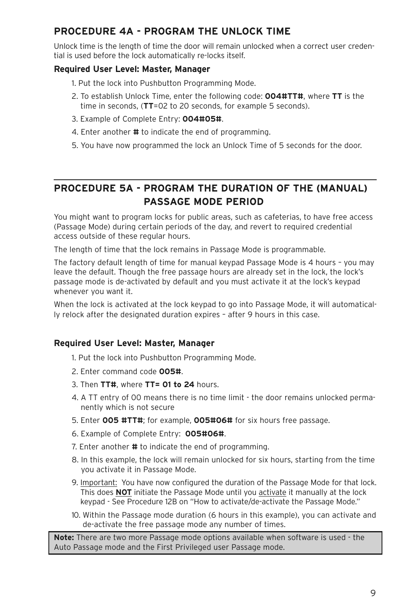### **PROCEDURE 4A - PROGRAM THE UNLOCK TIME**

Unlock time is the length of time the door will remain unlocked when a correct user credential is used before the lock automatically re-locks itself.

### **Required User Level: Master, Manager**

- 1. Put the lock into Pushbutton Programming Mode.
- 2. To establish Unlock Time, enter the following code: **004#TT#**, where **TT** is the time in seconds, (**TT**=02 to 20 seconds, for example 5 seconds).
- 3. Example of Complete Entry: **004#05#**.
- 4. Enter another **#** to indicate the end of programming.
- 5. You have now programmed the lock an Unlock Time of 5 seconds for the door.

### **PROCEDURE 5A - PROGRAM THE DURATION OF THE (MANUAL) PASSAGE MODE PERIOD**

You might want to program locks for public areas, such as cafeterias, to have free access (Passage Mode) during certain periods of the day, and revert to required credential access outside of these regular hours.

The length of time that the lock remains in Passage Mode is programmable.

The factory default length of time for manual keypad Passage Mode is 4 hours – you may leave the default. Though the free passage hours are already set in the lock, the lock's passage mode is de-activated by default and you must activate it at the lock's keypad whenever you want it.

When the lock is activated at the lock keypad to go into Passage Mode, it will automatically relock after the designated duration expires – after 9 hours in this case.

### **Required User Level: Master, Manager**

1. Put the lock into Pushbutton Programming Mode.

- 2. Enter command code **005#**.
- 3. Then **TT#**, where **TT= 01 to 24** hours.
- 4. A TT entry of 00 means there is no time limit the door remains unlocked permanently which is not secure
- 5. Enter **005 #TT#**; for example, **005#06#** for six hours free passage.
- 6. Example of Complete Entry: **005#06#**.
- 7. Enter another **#** to indicate the end of programming.
- 8. In this example, the lock will remain unlocked for six hours, starting from the time you activate it in Passage Mode.
- 9. Important: You have now configured the duration of the Passage Mode for that lock. This does **NOT** initiate the Passage Mode until you activate it manually at the lock keypad - See Procedure 12B on "How to activate/de-activate the Passage Mode."
- 10. Within the Passage mode duration (6 hours in this example), you can activate and de-activate the free passage mode any number of times.

**Note:** There are two more Passage mode options available when software is used - the Auto Passage mode and the First Privileged user Passage mode.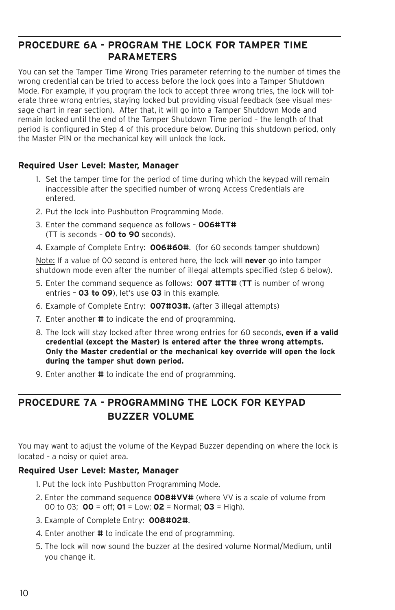### **PROCEDURE 6A - PROGRAM THE LOCK FOR TAMPER TIME PARAMETERS**

You can set the Tamper Time Wrong Tries parameter referring to the number of times the wrong credential can be tried to access before the lock goes into a Tamper Shutdown Mode. For example, if you program the lock to accept three wrong tries, the lock will tolerate three wrong entries, staying locked but providing visual feedback (see visual message chart in rear section). After that, it will go into a Tamper Shutdown Mode and remain locked until the end of the Tamper Shutdown Time period – the length of that period is configured in Step 4 of this procedure below. During this shutdown period, only the Master PIN or the mechanical key will unlock the lock.

### **Required User Level: Master, Manager**

- 1. Set the tamper time for the period of time during which the keypad will remain inaccessible after the specified number of wrong Access Credentials are entered.
- 2. Put the lock into Pushbutton Programming Mode.
- 3. Enter the command sequence as follows **006#TT#** (TT is seconds – **00 to 90** seconds).
- 4. Example of Complete Entry: **006#60#**. (for 60 seconds tamper shutdown)

Note: If a value of 00 second is entered here, the lock will **never** go into tamper shutdown mode even after the number of illegal attempts specified (step 6 below).

- 5. Enter the command sequence as follows: **007 #TT#** (**TT** is number of wrong entries – **03 to 09**), let's use **03** in this example.
- 6. Example of Complete Entry: **007#03#.** (after 3 illegal attempts)
- 7. Enter another **#** to indicate the end of programming.
- 8. The lock will stay locked after three wrong entries for 60 seconds, **even if a valid credential (except the Master) is entered after the three wrong attempts. Only the Master credential or the mechanical key override will open the lock during the tamper shut down period.**
- 9. Enter another **#** to indicate the end of programming.

### **PROCEDURE 7A - PROGRAMMING THE LOCK FOR KEYPAD BUZZER VOLUME**

You may want to adjust the volume of the Keypad Buzzer depending on where the lock is located – a noisy or quiet area.

### **Required User Level: Master, Manager**

- 1. Put the lock into Pushbutton Programming Mode.
- 2. Enter the command sequence **008#VV#** (where VV is a scale of volume from 00 to 03; **00** = off; **01** = Low; **02** = Normal; **03** = High).
- 3. Example of Complete Entry: **008#02#**.
- 4. Enter another **#** to indicate the end of programming.
- 5. The lock will now sound the buzzer at the desired volume Normal/Medium, until you change it.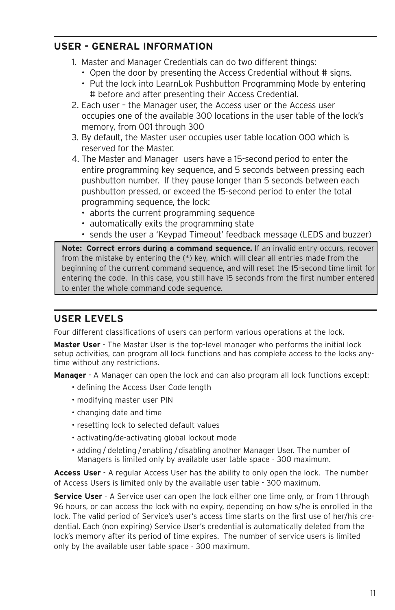### **USER - GENERAL INFORMATION**

1. Master and Manager Credentials can do two different things:

- Open the door by presenting the Access Credential without # signs.
- Put the lock into LearnLok Pushbutton Programming Mode by entering # before and after presenting their Access Credential.
- 2. Each user the Manager user, the Access user or the Access user occupies one of the available 300 locations in the user table of the lock's memory, from 001 through 300
- 3. By default, the Master user occupies user table location 000 which is reserved for the Master.
- 4. The Master and Manager users have a 15-second period to enter the entire programming key sequence, and 5 seconds between pressing each pushbutton number. If they pause longer than 5 seconds between each pushbutton pressed, or exceed the 15-second period to enter the total programming sequence, the lock:
	- aborts the current programming sequence
	- automatically exits the programming state
	- sends the user a 'Keypad Timeout' feedback message (LEDS and buzzer)

**Note: Correct errors during a command sequence.** If an invalid entry occurs, recover from the mistake by entering the (\*) key, which will clear all entries made from the beginning of the current command sequence, and will reset the 15-second time limit for entering the code. In this case, you still have 15 seconds from the first number entered to enter the whole command code sequence.

### **USER LEVELS**

Four different classifications of users can perform various operations at the lock.

**Master User** - The Master User is the top-level manager who performs the initial lock setup activities, can program all lock functions and has complete access to the locks anytime without any restrictions.

**Manager** - A Manager can open the lock and can also program all lock functions except:

- defining the Access User Code length
- modifying master user PIN
- changing date and time
- resetting lock to selected default values
- activating/de-activating global lockout mode
- adding / deleting /enabling /disabling another Manager User. The number of Managers is limited only by available user table space - 300 maximum.

**Access User** - A regular Access User has the ability to only open the lock. The number of Access Users is limited only by the available user table - 300 maximum.

**Service User** - A Service user can open the lock either one time only, or from 1 through 96 hours, or can access the lock with no expiry, depending on how s/he is enrolled in the lock. The valid period of Service's user's access time starts on the first use of her/his credential. Each (non expiring) Service User's credential is automatically deleted from the lock's memory after its period of time expires. The number of service users is limited only by the available user table space - 300 maximum.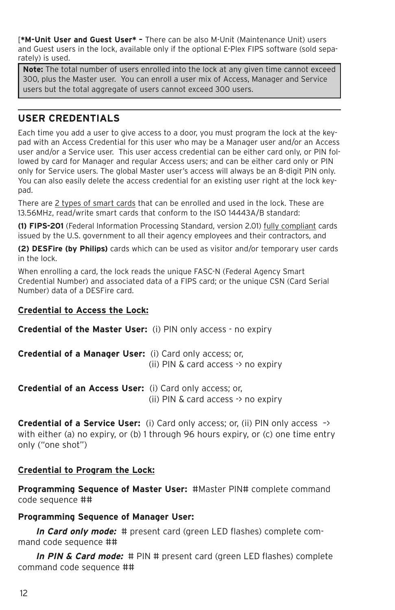[**\*M-Unit User and Guest User\* –** There can be also M-Unit (Maintenance Unit) users and Guest users in the lock, available only if the optional E-Plex FIPS software (sold separately) is used.

**Note:** The total number of users enrolled into the lock at any given time cannot exceed 300, plus the Master user. You can enroll a user mix of Access, Manager and Service users but the total aggregate of users cannot exceed 300 users.

### **USER CREDENTIALS**

Each time you add a user to give access to a door, you must program the lock at the keypad with an Access Credential for this user who may be a Manager user and/or an Access user and/or a Service user. This user access credential can be either card only, or PIN followed by card for Manager and regular Access users; and can be either card only or PIN only for Service users. The global Master user's access will always be an 8-digit PIN only. You can also easily delete the access credential for an existing user right at the lock keypad.

There are 2 types of smart cards that can be enrolled and used in the lock. These are 13.56MHz, read/write smart cards that conform to the ISO 14443A/B standard:

**(1) FIPS-201** (Federal Information Processing Standard, version 2.01) fully compliant cards issued by the U.S. government to all their agency employees and their contractors, and

**(2) DESFire (by Philips)** cards which can be used as visitor and/or temporary user cards in the lock.

When enrolling a card, the lock reads the unique FASC-N (Federal Agency Smart Credential Number) and associated data of a FIPS card; or the unique CSN (Card Serial Number) data of a DESFire card.

### **Credential to Access the Lock:**

**Credential of the Master User:** (i) PIN only access - no expiry

**Credential of a Manager User:** (i) Card only access; or, (ii) PIN & card access -> no expiry

**Credential of an Access User:** (i) Card only access; or, (ii) PIN & card access -> no expiry

**Credential of a Service User:** (i) Card only access; or, (ii) PIN only access –> with either (a) no expiry, or (b) 1 through 96 hours expiry, or (c) one time entry only ("one shot")

### **Credential to Program the Lock:**

**Programming Sequence of Master User:** #Master PIN# complete command code sequence ##

### **Programming Sequence of Manager User:**

**In Card only mode:** # present card (green LED flashes) complete command code sequence ##

**In PIN & Card mode:** # PIN # present card (green LED flashes) complete command code sequence ##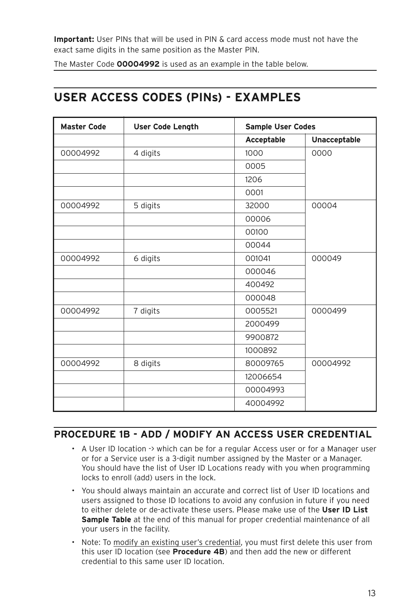**Important:** User PINs that will be used in PIN & card access mode must not have the exact same digits in the same position as the Master PIN.

The Master Code **00004992** is used as an example in the table below.

### **USER ACCESS CODES (PINs) - EXAMPLES**

| <b>Master Code</b> | <b>User Code Length</b> | <b>Sample User Codes</b> |              |
|--------------------|-------------------------|--------------------------|--------------|
|                    |                         | Acceptable               | Unacceptable |
| 00004992           | 4 digits                | 1000                     | 0000         |
|                    |                         | 0005                     |              |
|                    |                         | 1206                     |              |
|                    |                         | 0001                     |              |
| 00004992           | 5 digits                | 32000                    | 00004        |
|                    |                         | 00006                    |              |
|                    |                         | 00100                    |              |
|                    |                         | 00044                    |              |
| 00004992           | 6 digits                | 001041                   | 000049       |
|                    |                         | 000046                   |              |
|                    |                         | 400492                   |              |
|                    |                         | 000048                   |              |
| 00004992           | 7 digits                | 0005521                  | 0000499      |
|                    |                         | 2000499                  |              |
|                    |                         | 9900872                  |              |
|                    |                         | 1000892                  |              |
| 00004992           | 8 digits                | 80009765                 | 00004992     |
|                    |                         | 12006654                 |              |
|                    |                         | 00004993                 |              |
|                    |                         | 40004992                 |              |

### **PROCEDURE 1B - ADD / MODIFY AN ACCESS USER CREDENTIAL**

- A User ID location -> which can be for a regular Access user or for a Manager user or for a Service user is a 3-digit number assigned by the Master or a Manager. You should have the list of User ID Locations ready with you when programming locks to enroll (add) users in the lock.
- You should always maintain an accurate and correct list of User ID locations and users assigned to those ID locations to avoid any confusion in future if you need to either delete or de-activate these users. Please make use of the **User ID List Sample Table** at the end of this manual for proper credential maintenance of all your users in the facility.
- Note: To modify an existing user's credential, you must first delete this user from this user ID location (see **Procedure 4B**) and then add the new or different credential to this same user ID location.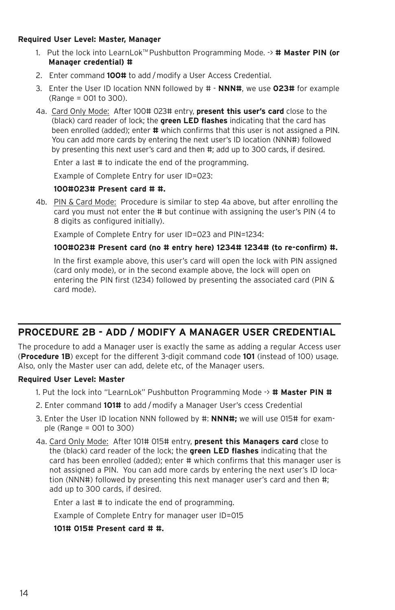#### **Required User Level: Master, Manager**

- 1. Put the lock into LearnLokTM Pushbutton Programming Mode. -> **# Master PIN (or Manager credential) #**
- 2. Enter command **100#** to add /modify a User Access Credential.
- 3. Enter the User ID location NNN followed by # **NNN#**, we use **023#** for example (Range = 001 to 300).
- 4a. Card Only Mode: After 100# 023# entry, **present this user's card** close to the (black) card reader of lock; the **green LED flashes** indicating that the card has been enrolled (added); enter **#** which confirms that this user is not assigned a PIN. You can add more cards by entering the next user's ID location (NNN#) followed by presenting this next user's card and then #; add up to 300 cards, if desired.

Enter a last # to indicate the end of the programming.

Example of Complete Entry for user ID=023:

#### **100#023# Present card # #.**

4b. PIN & Card Mode: Procedure is similar to step 4a above, but after enrolling the card you must not enter the # but continue with assigning the user's PIN (4 to 8 digits as configured initially).

Example of Complete Entry for user ID=023 and PIN=1234:

#### **100#023# Present card (no # entry here) 1234# 1234# (to re-confirm) #.**

In the first example above, this user's card will open the lock with PIN assigned (card only mode), or in the second example above, the lock will open on entering the PIN first (1234) followed by presenting the associated card (PIN & card mode).

### **PROCEDURE 2B - ADD / MODIFY A MANAGER USER CREDENTIAL**

The procedure to add a Manager user is exactly the same as adding a regular Access user (**Procedure 1B**) except for the different 3-digit command code **101** (instead of 100) usage. Also, only the Master user can add, delete etc, of the Manager users.

#### **Required User Level: Master**

- 1. Put the lock into "LearnLok" Pushbutton Programming Mode -> **# Master PIN #**
- 2. Enter command **101#** to add /modify a Manager User's ccess Credential
- 3. Enter the User ID location NNN followed by #: **NNN#;** we will use 015# for example (Range = 001 to 300)
- 4a. Card Only Mode: After 101# 015# entry, **present this Managers card** close to the (black) card reader of the lock; the **green LED flashes** indicating that the card has been enrolled (added); enter # which confirms that this manager user is not assigned a PIN. You can add more cards by entering the next user's ID location (NNN#) followed by presenting this next manager user's card and then #; add up to 300 cards, if desired.

Enter a last # to indicate the end of programming.

Example of Complete Entry for manager user ID=015

### **101# 015# Present card # #.**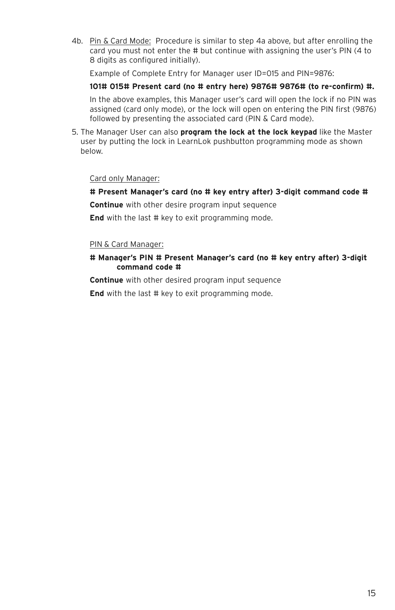4b. Pin & Card Mode: Procedure is similar to step 4a above, but after enrolling the card you must not enter the # but continue with assigning the user's PIN (4 to 8 digits as configured initially).

Example of Complete Entry for Manager user ID=015 and PIN=9876:

#### **101# 015# Present card (no # entry here) 9876# 9876# (to re-confirm) #.**

In the above examples, this Manager user's card will open the lock if no PIN was assigned (card only mode), or the lock will open on entering the PIN first (9876) followed by presenting the associated card (PIN & Card mode).

5. The Manager User can also **program the lock at the lock keypad** like the Master user by putting the lock in LearnLok pushbutton programming mode as shown below.

#### Card only Manager:

**# Present Manager's card (no # key entry after) 3-digit command code #**

**Continue** with other desire program input sequence

**End** with the last # key to exit programming mode.

#### PIN & Card Manager:

#### **# Manager's PIN # Present Manager's card (no # key entry after) 3-digit command code #**

**Continue** with other desired program input sequence

**End** with the last # key to exit programming mode.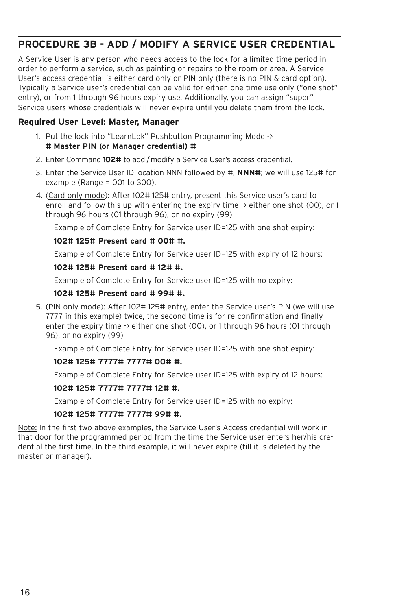### **PROCEDURE 3B - ADD / MODIFY A SERVICE USER CREDENTIAL**

A Service User is any person who needs access to the lock for a limited time period in order to perform a service, such as painting or repairs to the room or area. A Service User's access credential is either card only or PIN only (there is no PIN & card option). Typically a Service user's credential can be valid for either, one time use only ("one shot" entry), or from 1 through 96 hours expiry use. Additionally, you can assign "super" Service users whose credentials will never expire until you delete them from the lock.

### **Required User Level: Master, Manager**

- 1. Put the lock into "LearnLok" Pushbutton Programming Mode -> **# Master PIN (or Manager credential) #**
- 2. Enter Command **102#** to add /modify a Service User's access credential.
- 3. Enter the Service User ID location NNN followed by #, **NNN#**; we will use 125# for example (Range  $=$  001 to 300).
- 4. (Card only mode): After 102# 125# entry, present this Service user's card to enroll and follow this up with entering the expiry time -> either one shot (00), or 1 through 96 hours (01 through 96), or no expiry (99)

Example of Complete Entry for Service user ID=125 with one shot expiry:

#### **102# 125# Present card # 00# #.**

Example of Complete Entry for Service user ID=125 with expiry of 12 hours:

#### **102# 125# Present card # 12# #.**

Example of Complete Entry for Service user ID=125 with no expiry:

#### **102# 125# Present card # 99# #.**

5. (PIN only mode): After 102# 125# entry, enter the Service user's PIN (we will use 7777 in this example) twice, the second time is for re-confirmation and finally enter the expiry time -> either one shot (00), or 1 through 96 hours (01 through 96), or no expiry (99)

Example of Complete Entry for Service user ID=125 with one shot expiry:

#### **102# 125# 7777# 7777# 00# #.**

Example of Complete Entry for Service user ID=125 with expiry of 12 hours:

#### **102# 125# 7777# 7777# 12# #.**

Example of Complete Entry for Service user ID=125 with no expiry:

#### **102# 125# 7777# 7777# 99# #.**

Note: In the first two above examples, the Service User's Access credential will work in that door for the programmed period from the time the Service user enters her/his credential the first time. In the third example, it will never expire (till it is deleted by the master or manager).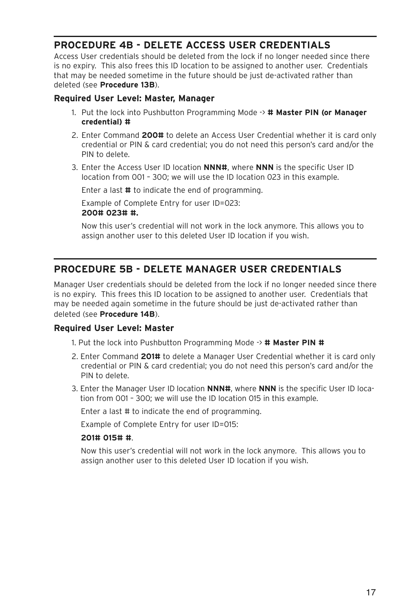### **PROCEDURE 4B - DELETE ACCESS USER CREDENTIALS**

Access User credentials should be deleted from the lock if no longer needed since there is no expiry. This also frees this ID location to be assigned to another user. Credentials that may be needed sometime in the future should be just de-activated rather than deleted (see **Procedure 13B**).

### **Required User Level: Master, Manager**

- 1. Put the lock into Pushbutton Programming Mode -> **# Master PIN (or Manager credential) #**
- 2. Enter Command **200#** to delete an Access User Credential whether it is card only credential or PIN & card credential; you do not need this person's card and/or the PIN to delete.
- 3. Enter the Access User ID location **NNN#**, where **NNN** is the specific User ID location from 001 – 300; we will use the ID location 023 in this example.

Enter a last **#** to indicate the end of programming.

Example of Complete Entry for user ID=023: **200# 023# #.**

Now this user's credential will not work in the lock anymore. This allows you to assign another user to this deleted User ID location if you wish.

### **PROCEDURE 5B - DELETE MANAGER USER CREDENTIALS**

Manager User credentials should be deleted from the lock if no longer needed since there is no expiry. This frees this ID location to be assigned to another user. Credentials that may be needed again sometime in the future should be just de-activated rather than deleted (see **Procedure 14B**).

### **Required User Level: Master**

- 1. Put the lock into Pushbutton Programming Mode -> **# Master PIN #**
- 2. Enter Command **201#** to delete a Manager User Credential whether it is card only credential or PIN & card credential; you do not need this person's card and/or the PIN to delete.
- 3. Enter the Manager User ID location **NNN#**, where **NNN** is the specific User ID location from 001 – 300; we will use the ID location 015 in this example.

Enter a last # to indicate the end of programming.

Example of Complete Entry for user ID=015:

#### **201# 015# #**.

Now this user's credential will not work in the lock anymore. This allows you to assign another user to this deleted User ID location if you wish.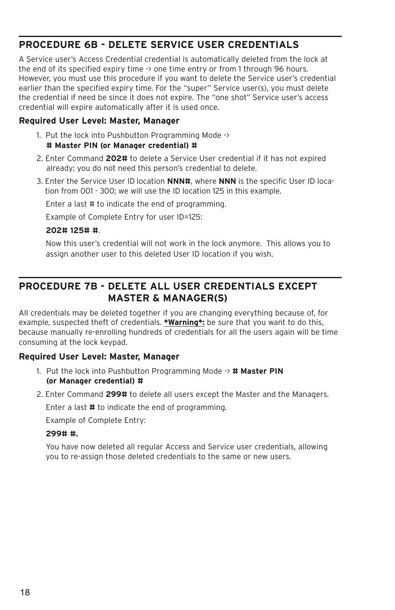### **PROCEDURE 6B - DELETE SERVICE USER CREDENTIALS**

A Service user's Access Credential credential is automatically deleted from the lock at the end of its specified expiry time -> one time entry or from 1 through 96 hours. However, you must use this procedure if you want to delete the Service user's credential earlier than the specified expiry time. For the "super" Service user(s), you must delete the credential if need be since it does not expire. The "one shot" Service user's access credential will expire automatically after it is used once.

### **Required User Level: Master, Manager**

- 1. Put the lock into Pushbutton Programming Mode -> **# Master PIN (or Manager credential) #**
- 2. Enter Command **202#** to delete a Service User credential if it has not expired already; you do not need this person's credential to delete.
- 3. Enter the Service User ID location **NNN#**, where **NNN** is the specific User ID location from 001 - 300; we will use the ID location 125 in this example.

Enter a last # to indicate the end of programming.

Example of Complete Entry for user ID=125:

#### **202# 125# #**.

Now this user's credential will not work in the lock anymore. This allows you to assign another user to this deleted User ID location if you wish.

### **PROCEDURE 7B - DELETE ALL USER CREDENTIALS EXCEPT MASTER & MANAGER(S)**

All credentials may be deleted together if you are changing everything because of, for example, suspected theft of credentials. **\*Warning\*:** be sure that you want to do this, because manually re-enrolling hundreds of credentials for all the users again will be time consuming at the lock keypad.

### **Required User Level: Master, Manager**

- 1. Put the lock into Pushbutton Programming Mode -> **# Master PIN (or Manager credential) #**
- 2. Enter Command **299#** to delete all users except the Master and the Managers.

Enter a last **#** to indicate the end of programming.

Example of Complete Entry:

### **299# #.**

You have now deleted all regular Access and Service user credentials, allowing you to re-assign those deleted credentials to the same or new users.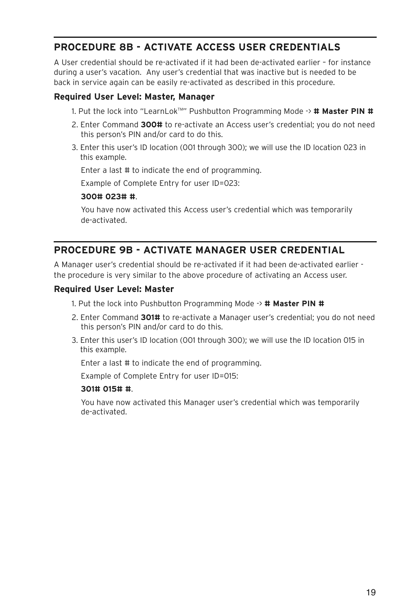### **PROCEDURE 8B - ACTIVATE ACCESS USER CREDENTIALS**

A User credential should be re-activated if it had been de-activated earlier – for instance during a user's vacation. Any user's credential that was inactive but is needed to be back in service again can be easily re-activated as described in this procedure.

### **Required User Level: Master, Manager**

- 1. Put the lock into "LearnLokTM " Pushbutton Programming Mode -> **# Master PIN #**
- 2. Enter Command **300#** to re-activate an Access user's credential; you do not need this person's PIN and/or card to do this.
- 3. Enter this user's ID location (001 through 300); we will use the ID location 023 in this example.

Enter a last # to indicate the end of programming.

Example of Complete Entry for user ID=023:

#### **300# 023# #**.

You have now activated this Access user's credential which was temporarily de-activated.

### **PROCEDURE 9B - ACTIVATE MANAGER USER CREDENTIAL**

A Manager user's credential should be re-activated if it had been de-activated earlier the procedure is very similar to the above procedure of activating an Access user.

#### **Required User Level: Master**

- 1. Put the lock into Pushbutton Programming Mode -> **# Master PIN #**
- 2. Enter Command **301#** to re-activate a Manager user's credential; you do not need this person's PIN and/or card to do this.
- 3. Enter this user's ID location (001 through 300); we will use the ID location 015 in this example.

Enter a last # to indicate the end of programming.

Example of Complete Entry for user ID=015:

#### **301# 015# #**.

You have now activated this Manager user's credential which was temporarily de-activated.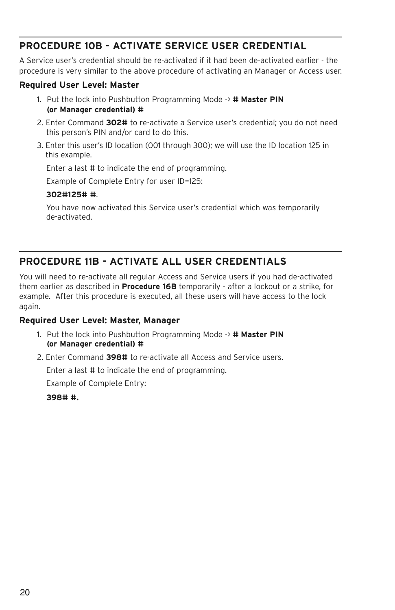### **PROCEDURE 10B - ACTIVATE SERVICE USER CREDENTIAL**

A Service user's credential should be re-activated if it had been de-activated earlier - the procedure is very similar to the above procedure of activating an Manager or Access user.

### **Required User Level: Master**

- 1. Put the lock into Pushbutton Programming Mode -> **# Master PIN (or Manager credential) #**
- 2. Enter Command **302#** to re-activate a Service user's credential; you do not need this person's PIN and/or card to do this.
- 3. Enter this user's ID location (001 through 300); we will use the ID location 125 in this example.

Enter a last # to indicate the end of programming.

Example of Complete Entry for user ID=125:

#### **302#125# #**.

You have now activated this Service user's credential which was temporarily de-activated.

### **PROCEDURE 11B - ACTIVATE ALL USER CREDENTIALS**

You will need to re-activate all regular Access and Service users if you had de-activated them earlier as described in **Procedure 16B** temporarily - after a lockout or a strike, for example. After this procedure is executed, all these users will have access to the lock again.

### **Required User Level: Master, Manager**

- 1. Put the lock into Pushbutton Programming Mode -> **# Master PIN (or Manager credential) #**
- 2. Enter Command **398#** to re-activate all Access and Service users.

Enter a last # to indicate the end of programming.

Example of Complete Entry:

**398# #.**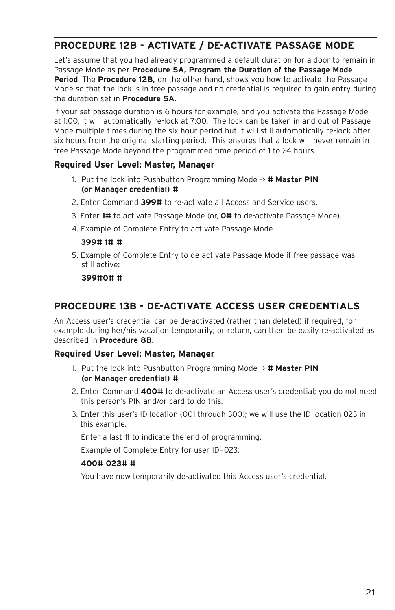### **PROCEDURE 12B - ACTIVATE / DE-ACTIVATE PASSAGE MODE**

Let's assume that you had already programmed a default duration for a door to remain in Passage Mode as per **Procedure 5A, Program the Duration of the Passage Mode Period**. The **Procedure 12B,** on the other hand, shows you how to activate the Passage Mode so that the lock is in free passage and no credential is required to gain entry during the duration set in **Procedure 5A**.

If your set passage duration is 6 hours for example, and you activate the Passage Mode at 1:00, it will automatically re-lock at 7:00. The lock can be taken in and out of Passage Mode multiple times during the six hour period but it will still automatically re-lock after six hours from the original starting period. This ensures that a lock will never remain in free Passage Mode beyond the programmed time period of 1 to 24 hours.

### **Required User Level: Master, Manager**

- 1. Put the lock into Pushbutton Programming Mode -> **# Master PIN (or Manager credential) #**
- 2. Enter Command **399#** to re-activate all Access and Service users.
- 3. Enter **1#** to activate Passage Mode (or, **0#** to de-activate Passage Mode).
- 4. Example of Complete Entry to activate Passage Mode

#### **399# 1# #**

5. Example of Complete Entry to de-activate Passage Mode if free passage was still active:

**399#0# #**

### **PROCEDURE 13B - DE-ACTIVATE ACCESS USER CREDENTIALS**

An Access user's credential can be de-activated (rather than deleted) if required, for example during her/his vacation temporarily; or return, can then be easily re-activated as described in **Procedure 8B.**

### **Required User Level: Master, Manager**

- 1. Put the lock into Pushbutton Programming Mode -> **# Master PIN (or Manager credential) #**
- 2. Enter Command **400#** to de-activate an Access user's credential; you do not need this person's PIN and/or card to do this.
- 3. Enter this user's ID location (001 through 300); we will use the ID location 023 in this example.

Enter a last # to indicate the end of programming.

Example of Complete Entry for user ID=023:

#### **400# 023# #**

You have now temporarily de-activated this Access user's credential.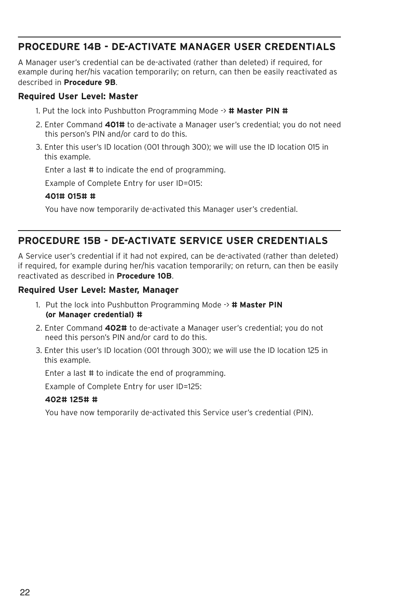### **PROCEDURE 14B - DE-ACTIVATE MANAGER USER CREDENTIALS**

A Manager user's credential can be de-activated (rather than deleted) if required, for example during her/his vacation temporarily; on return, can then be easily reactivated as described in **Procedure 9B**.

#### **Required User Level: Master**

- 1. Put the lock into Pushbutton Programming Mode -> **# Master PIN #**
- 2. Enter Command **401#** to de-activate a Manager user's credential; you do not need this person's PIN and/or card to do this.
- 3. Enter this user's ID location (001 through 300); we will use the ID location 015 in this example.

Enter a last # to indicate the end of programming.

Example of Complete Entry for user ID=015:

#### **401# 015# #**

You have now temporarily de-activated this Manager user's credential.

### **PROCEDURE 15B - DE-ACTIVATE SERVICE USER CREDENTIALS**

A Service user's credential if it had not expired, can be de-activated (rather than deleted) if required, for example during her/his vacation temporarily; on return, can then be easily reactivated as described in **Procedure 10B**.

#### **Required User Level: Master, Manager**

- 1. Put the lock into Pushbutton Programming Mode -> **# Master PIN (or Manager credential) #**
- 2. Enter Command **402#** to de-activate a Manager user's credential; you do not need this person's PIN and/or card to do this.
- 3. Enter this user's ID location (001 through 300); we will use the ID location 125 in this example.

Enter a last # to indicate the end of programming.

Example of Complete Entry for user ID=125:

#### **402# 125# #**

You have now temporarily de-activated this Service user's credential (PIN).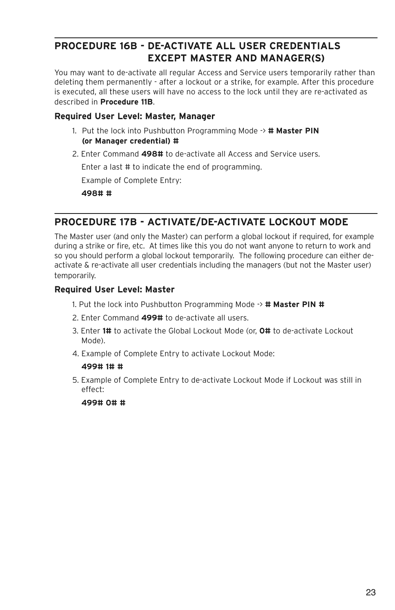### **PROCEDURE 16B - DE-ACTIVATE ALL USER CREDENTIALS EXCEPT MASTER AND MANAGER(S)**

You may want to de-activate all regular Access and Service users temporarily rather than deleting them permanently - after a lockout or a strike, for example. After this procedure is executed, all these users will have no access to the lock until they are re-activated as described in **Procedure 11B**.

### **Required User Level: Master, Manager**

- 1. Put the lock into Pushbutton Programming Mode -> **# Master PIN (or Manager credential) #**
- 2. Enter Command **498#** to de-activate all Access and Service users.

Enter a last # to indicate the end of programming.

Example of Complete Entry:

**498# #**

### **PROCEDURE 17B - ACTIVATE/DE-ACTIVATE LOCKOUT MODE**

The Master user (and only the Master) can perform a global lockout if required, for example during a strike or fire, etc. At times like this you do not want anyone to return to work and so you should perform a global lockout temporarily. The following procedure can either deactivate & re-activate all user credentials including the managers (but not the Master user) temporarily.

### **Required User Level: Master**

- 1. Put the lock into Pushbutton Programming Mode -> **# Master PIN #**
- 2. Enter Command **499#** to de-activate all users.
- 3. Enter **1#** to activate the Global Lockout Mode (or, **0#** to de-activate Lockout Mode).
- 4. Example of Complete Entry to activate Lockout Mode:

### **499# 1# #**

5. Example of Complete Entry to de-activate Lockout Mode if Lockout was still in effect:

**499# 0# #**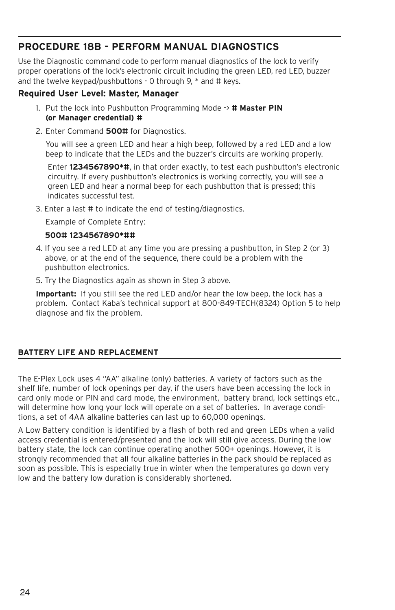### **PROCEDURE 18B - PERFORM MANUAL DIAGNOSTICS**

Use the Diagnostic command code to perform manual diagnostics of the lock to verify proper operations of the lock's electronic circuit including the green LED, red LED, buzzer and the twelve keypad/pushbuttons - 0 through 9, \* and # keys.

### **Required User Level: Master, Manager**

- 1. Put the lock into Pushbutton Programming Mode -> **# Master PIN (or Manager credential) #**
- 2. Enter Command **500#** for Diagnostics.

You will see a green LED and hear a high beep, followed by a red LED and a low beep to indicate that the LEDs and the buzzer's circuits are working properly.

Enter **1234567890\*#**, in that order exactly, to test each pushbutton's electronic circuitry. If every pushbutton's electronics is working correctly, you will see a green LED and hear a normal beep for each pushbutton that is pressed; this indicates successful test.

3. Enter a last # to indicate the end of testing/diagnostics.

Example of Complete Entry:

### **500# 1234567890\*##**

- 4. If you see a red LED at any time you are pressing a pushbutton, in Step 2 (or 3) above, or at the end of the sequence, there could be a problem with the pushbutton electronics.
- 5. Try the Diagnostics again as shown in Step 3 above.

**Important:** If you still see the red LED and/or hear the low beep, the lock has a problem. Contact Kaba's technical support at 800-849-TECH(8324) Option 5 to help diagnose and fix the problem.

### **BATTERY LIFE AND REPLACEMENT**

The E-Plex Lock uses 4 "AA" alkaline (only) batteries. A variety of factors such as the shelf life, number of lock openings per day, if the users have been accessing the lock in card only mode or PIN and card mode, the environment, battery brand, lock settings etc., will determine how long your lock will operate on a set of batteries. In average conditions, a set of 4AA alkaline batteries can last up to 60,000 openings.

A Low Battery condition is identified by a flash of both red and green LEDs when a valid access credential is entered/presented and the lock will still give access. During the low battery state, the lock can continue operating another 500+ openings. However, it is strongly recommended that all four alkaline batteries in the pack should be replaced as soon as possible. This is especially true in winter when the temperatures go down very low and the battery low duration is considerably shortened.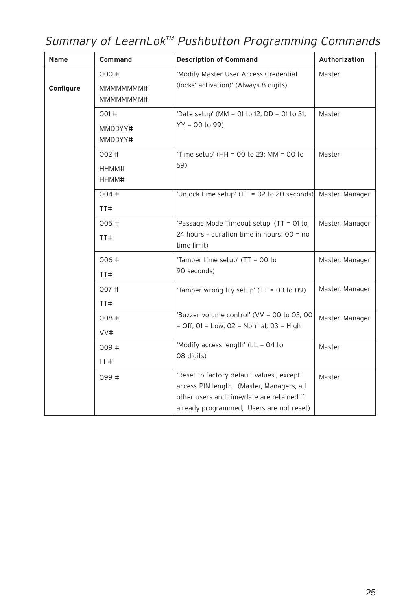## Summary of LearnLok<sup>™</sup> Pushbutton Programming Commands

| Name      | Command                                                                                                         | <b>Description of Command</b>                                                                                                                                                   | <b>Authorization</b> |
|-----------|-----------------------------------------------------------------------------------------------------------------|---------------------------------------------------------------------------------------------------------------------------------------------------------------------------------|----------------------|
| Configure | 000#<br>'Modify Master User Access Credential<br>(locks' activation)' (Always 8 digits)<br>MMMMMMM#<br>MMMMMMM# |                                                                                                                                                                                 | Master               |
|           | 001#<br>MMDDYY#<br>MMDDYY#                                                                                      | 'Date setup' (MM = 01 to 12; DD = 01 to 31;<br>$YY = 00$ to 99)                                                                                                                 | Master               |
|           | 002#<br>HHMM#<br>HHMM#                                                                                          | 'Time setup' (HH = 00 to 23; MM = 00 to<br>59)                                                                                                                                  | Master               |
|           | 004#<br>TT#                                                                                                     | 'Unlock time setup' (TT = 02 to 20 seconds)                                                                                                                                     | Master, Manager      |
|           | 005#<br>TT#                                                                                                     | 'Passage Mode Timeout setup' (TT = 01 to<br>24 hours - duration time in hours; 00 = no<br>time limit)                                                                           | Master, Manager      |
|           | 006#<br>TT#                                                                                                     | 'Tamper time setup' (TT = 00 to<br>90 seconds)                                                                                                                                  | Master, Manager      |
|           | 007#<br>TT#                                                                                                     | 'Tamper wrong try setup' (TT = 03 to 09)                                                                                                                                        | Master, Manager      |
|           | 008#<br>VV#                                                                                                     | 'Buzzer volume control' (VV = 00 to 03; 00<br>$=$ Off; 01 = Low; 02 = Normal; 03 = High                                                                                         | Master, Manager      |
|           | 009#<br>LL#                                                                                                     | 'Modify access length' (LL = 04 to<br>08 digits)                                                                                                                                | Master               |
|           | 099#                                                                                                            | 'Reset to factory default values', except<br>access PIN length. (Master, Managers, all<br>other users and time/date are retained if<br>already programmed; Users are not reset) | Master               |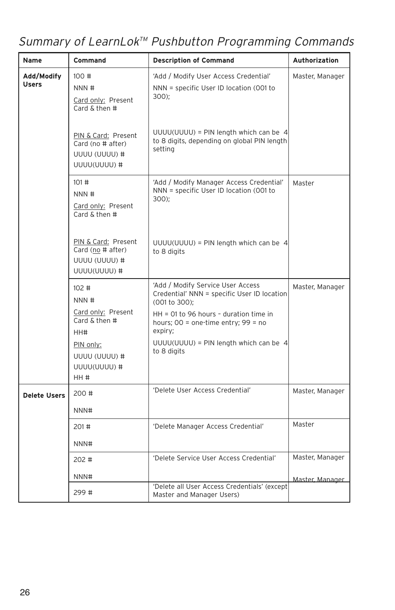## Summary of LearnLok<sup>™</sup> Pushbutton Programming Commands

| Name                                                                                       | <b>Command</b>                                                                                                                                         | <b>Description of Command</b>                                                                      | <b>Authorization</b> |
|--------------------------------------------------------------------------------------------|--------------------------------------------------------------------------------------------------------------------------------------------------------|----------------------------------------------------------------------------------------------------|----------------------|
| Add/Modify<br>100#<br>Users<br>NNN #<br>$300$ ;<br>Card only: Present<br>Card $&$ then $#$ |                                                                                                                                                        | 'Add / Modify User Access Credential'<br>NNN = specific User ID location (001 to                   | Master, Manager      |
|                                                                                            | PIN & Card: Present<br>Card (no # after)<br>UUUU (UUUU) #<br>UUUU(UUUU)#                                                                               | $UUUU(UUUU) = PIN$ length which can be 4<br>to 8 digits, depending on global PIN length<br>setting |                      |
|                                                                                            | 101#<br>'Add / Modify Manager Access Credential'<br>NNN = specific User ID location (001 to<br>NNN #<br>$300$ ;<br>Card only: Present<br>Card & then # | Master                                                                                             |                      |
|                                                                                            | PIN & Card: Present<br>Card (no # after)<br>UUUU (UUUU) #<br>UUUU(UUUU)#                                                                               | $UUUU(UUUU) = PIN$ length which can be 4<br>to 8 digits                                            |                      |
|                                                                                            | 'Add / Modify Service User Access<br>102#<br>Credential' NNN = specific User ID location<br>NNN #<br>(001 to 300);                                     |                                                                                                    | Master, Manager      |
| Card only: Present<br>Card $&$ then $#$<br>expiry;<br>HH#                                  |                                                                                                                                                        | $HH = 01$ to 96 hours - duration time in<br>hours; $00 =$ one-time entry; $99 =$ no                |                      |
|                                                                                            | PIN only:<br>UUUU (UUUU) #<br>UUUU(UUUU)#<br>HH #                                                                                                      | $UUUU(UUUU) = PIN$ length which can be 4<br>to 8 digits                                            |                      |
| Delete Users                                                                               | 200#                                                                                                                                                   | 'Delete User Access Credential'                                                                    | Master, Manager      |
|                                                                                            | NNN#                                                                                                                                                   |                                                                                                    |                      |
|                                                                                            | 201#                                                                                                                                                   | 'Delete Manager Access Credential'                                                                 | Master               |
| NNN#                                                                                       |                                                                                                                                                        |                                                                                                    |                      |
|                                                                                            | 202#                                                                                                                                                   | 'Delete Service User Access Credential'                                                            | Master, Manager      |
|                                                                                            | NNN#                                                                                                                                                   |                                                                                                    | Master, Manager      |
|                                                                                            | 299#                                                                                                                                                   | 'Delete all User Access Credentials' (except<br>Master and Manager Users)                          |                      |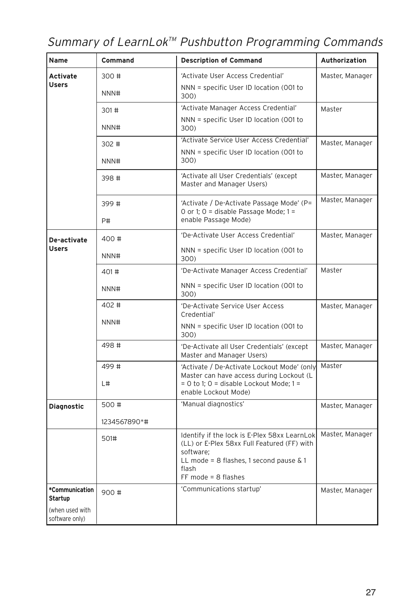## Summary of LearnLok<sup>™</sup> Pushbutton Programming Commands

| Name                              | Command                                                 | <b>Description of Command</b>                                                                                                                                                              | <b>Authorization</b> |
|-----------------------------------|---------------------------------------------------------|--------------------------------------------------------------------------------------------------------------------------------------------------------------------------------------------|----------------------|
| Activate                          | 300#                                                    | 'Activate User Access Credential'                                                                                                                                                          | Master, Manager      |
| <b>Users</b>                      | NNN#                                                    | NNN = specific User ID location (001 to<br>300)                                                                                                                                            |                      |
|                                   | 301#                                                    | 'Activate Manager Access Credential'                                                                                                                                                       | Master               |
|                                   | NNN#                                                    | NNN = specific User ID location (001 to<br>300)                                                                                                                                            |                      |
|                                   | 302#                                                    | 'Activate Service User Access Credential'                                                                                                                                                  | Master, Manager      |
|                                   | NNN#                                                    | NNN = specific User ID location (001 to<br>300)                                                                                                                                            |                      |
|                                   | 398#                                                    | 'Activate all User Credentials' (except<br>Master and Manager Users)                                                                                                                       | Master, Manager      |
|                                   | 399#<br>P#                                              | 'Activate / De-Activate Passage Mode' (P=<br>O or 1; O = disable Passage Mode; 1 =<br>enable Passage Mode)                                                                                 | Master, Manager      |
|                                   |                                                         |                                                                                                                                                                                            |                      |
| De-activate                       | 400 #                                                   | 'De-Activate User Access Credential'                                                                                                                                                       | Master, Manager      |
| <b>Users</b>                      | NNN#                                                    | NNN = specific User ID location (001 to<br>300)                                                                                                                                            |                      |
|                                   | 401#                                                    | 'De-Activate Manager Access Credential'                                                                                                                                                    | Master               |
|                                   | NNN#                                                    | NNN = specific User ID location (001 to<br>300)                                                                                                                                            |                      |
|                                   | 402#<br>'De-Activate Service User Access<br>Credential' |                                                                                                                                                                                            | Master, Manager      |
| NNN#                              |                                                         | NNN = specific User ID location (001 to<br>300)                                                                                                                                            |                      |
|                                   | 498#                                                    | 'De-Activate all User Credentials' (except<br>Master and Manager Users)                                                                                                                    | Master, Manager      |
|                                   | 499#                                                    | 'Activate / De-Activate Lockout Mode' (only                                                                                                                                                | Master               |
|                                   | L#                                                      | Master can have access during Lockout (L<br>$= 0$ to 1; 0 = disable Lockout Mode; 1 =<br>enable Lockout Mode)                                                                              |                      |
| Diagnostic                        | 500#                                                    | 'Manual diagnostics'                                                                                                                                                                       | Master, Manager      |
|                                   | 1234567890*#                                            |                                                                                                                                                                                            |                      |
|                                   | 501#                                                    | Identify if the lock is E-Plex 58xx LearnLok<br>(LL) or E-Plex 58xx Full Featured (FF) with<br>software:<br>LL mode = $8$ flashes, 1 second pause $\& 1$<br>flash<br>$FF$ mode = 8 flashes | Master, Manager      |
| *Communication<br>Startup         | 900 #                                                   | 'Communications startup'<br>Master, Manager                                                                                                                                                |                      |
| (when used with<br>software only) |                                                         |                                                                                                                                                                                            |                      |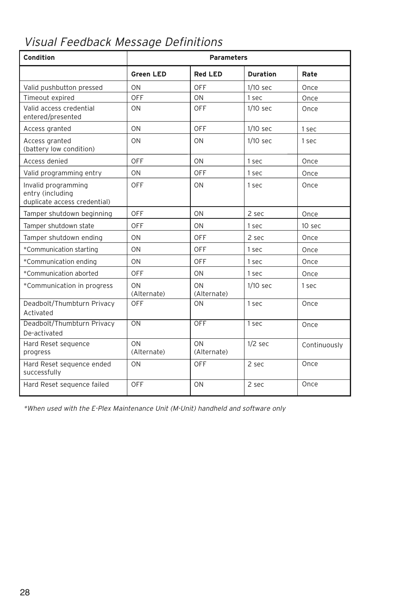## Visual Feedback Message Definitions

| Condition                                                               | <b>Parameters</b> |                   |                 |              |
|-------------------------------------------------------------------------|-------------------|-------------------|-----------------|--------------|
|                                                                         | <b>Green LED</b>  | <b>Red LED</b>    | <b>Duration</b> | Rate         |
| Valid pushbutton pressed                                                | ON                | OFF               | $1/10$ sec      | Once         |
| Timeout expired                                                         | OFF               | ON                | 1 sec           | Once         |
| Valid access credential<br>entered/presented                            | ON                | OFF               | $1/10$ sec      | Once         |
| Access granted                                                          | ON                | <b>OFF</b>        | $1/10$ sec      | 1 sec        |
| Access granted<br>(battery low condition)                               | ON                | ON                | $1/10$ sec      | 1 sec        |
| Access denied                                                           | OFF               | ON                | 1 sec           | Once         |
| Valid programming entry                                                 | ON                | OFF               | 1 sec           | Once         |
| Invalid programming<br>entry (including<br>duplicate access credential) | OFF               | ON                | 1 sec           | Once         |
| Tamper shutdown beginning                                               | <b>OFF</b>        | ON                | 2 sec           | Once         |
| Tamper shutdown state                                                   | <b>OFF</b>        | ON                | 1 sec           | 10 sec       |
| Tamper shutdown ending                                                  | ON                | OFF               | 2 sec           | Once         |
| *Communication starting                                                 | ON                | OFF               | 1 sec           | Once         |
| *Communication ending                                                   | ON                | OFF               | 1 sec           | Once         |
| *Communication aborted                                                  | <b>OFF</b>        | ON                | 1 sec           | Once         |
| *Communication in progress                                              | ON<br>(Alternate) | ON<br>(Alternate) | $1/10$ sec      | 1 sec        |
| Deadbolt/Thumbturn Privacy<br>Activated                                 | OFF               | ON                | 1 sec           | Once         |
| Deadbolt/Thumbturn Privacy<br>De-activated                              | ON                | <b>OFF</b>        | 1 sec           | Once         |
| Hard Reset sequence<br>progress                                         | ON<br>(Alternate) | ON<br>(Alternate) | $1/2$ sec       | Continuously |
| Hard Reset sequence ended<br>successfully                               | ON                | OFF               | 2 sec           | Once         |
| Hard Reset sequence failed                                              | OFF               | ON                | 2 sec           | Once         |

\*When used with the E-Plex Maintenance Unit (M-Unit) handheld and software only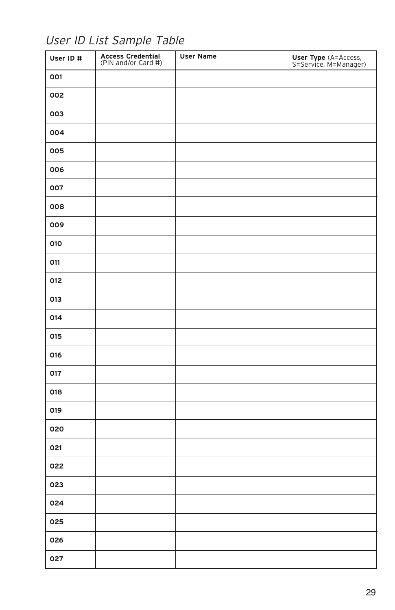User ID List Sample Table

| User ID # | Access Credential<br>(PIN and/or Card #) | <b>User Name</b> | <b>User Type</b> (A=Access,<br>S=Service, M=Manager) |
|-----------|------------------------------------------|------------------|------------------------------------------------------|
| 001       |                                          |                  |                                                      |
| 002       |                                          |                  |                                                      |
| 003       |                                          |                  |                                                      |
| 004       |                                          |                  |                                                      |
| 005       |                                          |                  |                                                      |
| 006       |                                          |                  |                                                      |
| 007       |                                          |                  |                                                      |
| 008       |                                          |                  |                                                      |
| 009       |                                          |                  |                                                      |
| 010       |                                          |                  |                                                      |
| 011       |                                          |                  |                                                      |
| 012       |                                          |                  |                                                      |
| 013       |                                          |                  |                                                      |
| 014       |                                          |                  |                                                      |
| 015       |                                          |                  |                                                      |
| 016       |                                          |                  |                                                      |
| 017       |                                          |                  |                                                      |
| 018       |                                          |                  |                                                      |
| 019       |                                          |                  |                                                      |
| 020       |                                          |                  |                                                      |
| 021       |                                          |                  |                                                      |
| 022       |                                          |                  |                                                      |
| 023       |                                          |                  |                                                      |
| 024       |                                          |                  |                                                      |
| 025       |                                          |                  |                                                      |
| 026       |                                          |                  |                                                      |
| 027       |                                          |                  |                                                      |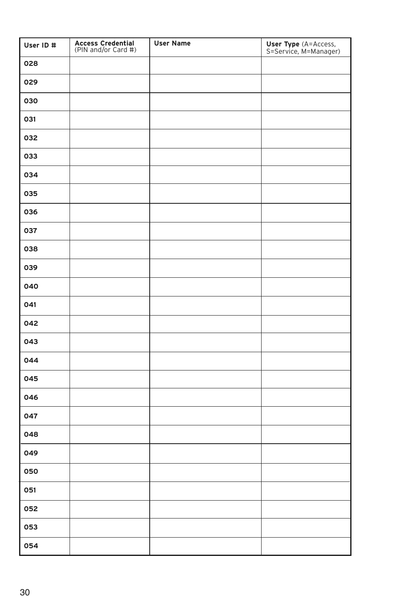| User ID # | <b>Access Credential</b><br>(PIN and/or Card #) | <b>User Name</b> | <b>User Type</b> (A=Access,<br>S=Service, M=Manager) |
|-----------|-------------------------------------------------|------------------|------------------------------------------------------|
| 028       |                                                 |                  |                                                      |
| 029       |                                                 |                  |                                                      |
| 030       |                                                 |                  |                                                      |
| 031       |                                                 |                  |                                                      |
| 032       |                                                 |                  |                                                      |
| 033       |                                                 |                  |                                                      |
| 034       |                                                 |                  |                                                      |
| 035       |                                                 |                  |                                                      |
| 036       |                                                 |                  |                                                      |
| 037       |                                                 |                  |                                                      |
| 038       |                                                 |                  |                                                      |
| 039       |                                                 |                  |                                                      |
| 040       |                                                 |                  |                                                      |
| 041       |                                                 |                  |                                                      |
| 042       |                                                 |                  |                                                      |
| 043       |                                                 |                  |                                                      |
| 044       |                                                 |                  |                                                      |
| 045       |                                                 |                  |                                                      |
| 046       |                                                 |                  |                                                      |
| 047       |                                                 |                  |                                                      |
| 048       |                                                 |                  |                                                      |
| 049       |                                                 |                  |                                                      |
| 050       |                                                 |                  |                                                      |
| 051       |                                                 |                  |                                                      |
| 052       |                                                 |                  |                                                      |
| 053       |                                                 |                  |                                                      |
| 054       |                                                 |                  |                                                      |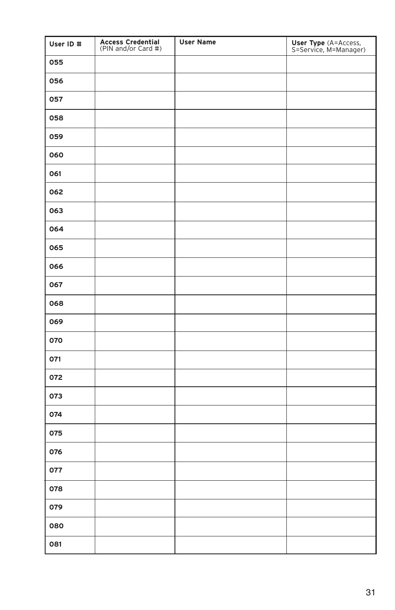| User ID # | Access Credential<br>(PIN and/or Card #) | <b>User Name</b> | User Type (A=Access,<br>S=Service, M=Manager) |
|-----------|------------------------------------------|------------------|-----------------------------------------------|
| 055       |                                          |                  |                                               |
| 056       |                                          |                  |                                               |
| 057       |                                          |                  |                                               |
| 058       |                                          |                  |                                               |
| 059       |                                          |                  |                                               |
| 060       |                                          |                  |                                               |
| 061       |                                          |                  |                                               |
| 062       |                                          |                  |                                               |
| 063       |                                          |                  |                                               |
| 064       |                                          |                  |                                               |
| 065       |                                          |                  |                                               |
| 066       |                                          |                  |                                               |
| 067       |                                          |                  |                                               |
| 068       |                                          |                  |                                               |
| 069       |                                          |                  |                                               |
| 070       |                                          |                  |                                               |
| 071       |                                          |                  |                                               |
| 072       |                                          |                  |                                               |
| 073       |                                          |                  |                                               |
| 074       |                                          |                  |                                               |
| 075       |                                          |                  |                                               |
| 076       |                                          |                  |                                               |
| 077       |                                          |                  |                                               |
| 078       |                                          |                  |                                               |
| 079       |                                          |                  |                                               |
| 080       |                                          |                  |                                               |
| 081       |                                          |                  |                                               |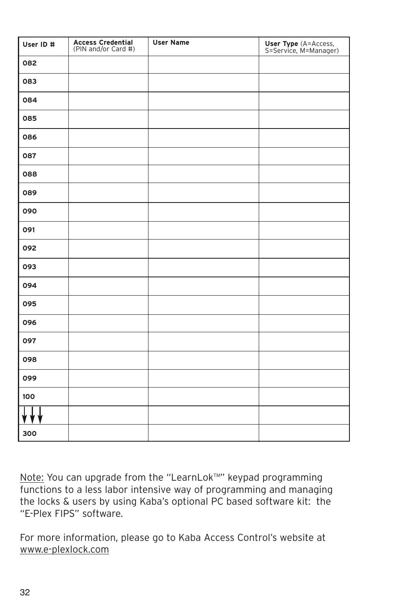| User ID # | <b>Access Credential</b><br>(PIN and/or Card #) | <b>User Name</b> | <b>User Type</b> (A=Access,<br>S=Service, M=Manager) |
|-----------|-------------------------------------------------|------------------|------------------------------------------------------|
| 082       |                                                 |                  |                                                      |
| 083       |                                                 |                  |                                                      |
| 084       |                                                 |                  |                                                      |
| 085       |                                                 |                  |                                                      |
| 086       |                                                 |                  |                                                      |
| 087       |                                                 |                  |                                                      |
| 088       |                                                 |                  |                                                      |
| 089       |                                                 |                  |                                                      |
| 090       |                                                 |                  |                                                      |
| 091       |                                                 |                  |                                                      |
| 092       |                                                 |                  |                                                      |
| 093       |                                                 |                  |                                                      |
| 094       |                                                 |                  |                                                      |
| 095       |                                                 |                  |                                                      |
| 096       |                                                 |                  |                                                      |
| 097       |                                                 |                  |                                                      |
| 098       |                                                 |                  |                                                      |
| 099       |                                                 |                  |                                                      |
| 100       |                                                 |                  |                                                      |
|           |                                                 |                  |                                                      |
| 300       |                                                 |                  |                                                      |

Note: You can upgrade from the "LearnLok™" keypad programming functions to a less labor intensive way of programming and managing the locks & users by using Kaba's optional PC based software kit: the "E-Plex FIPS" software.

For more information, please go to Kaba Access Control's website at www.e-plexlock.com